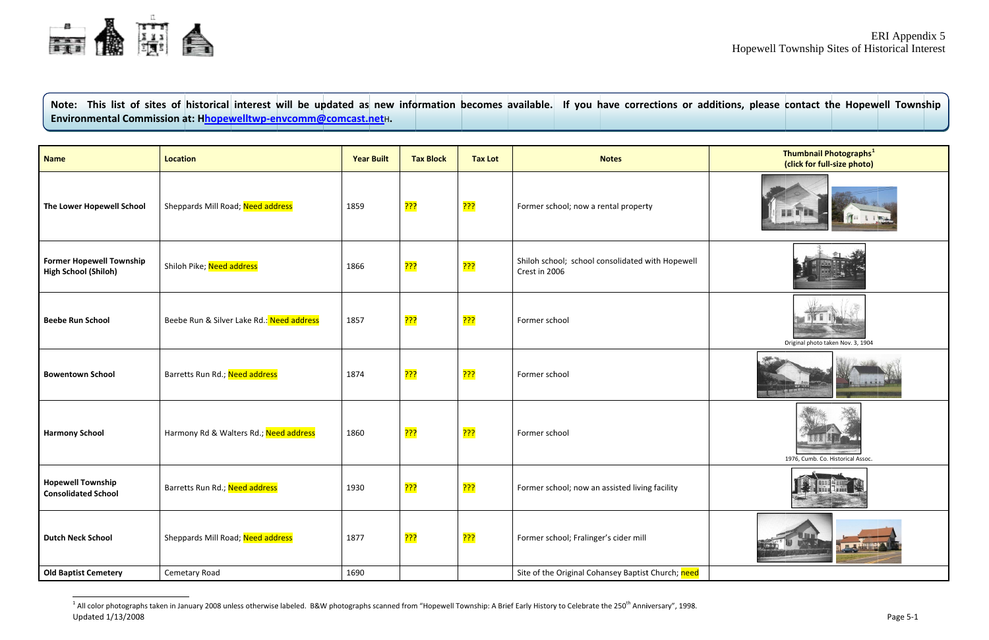

Note: This list of sites of historical interest will be updated as new information becomes available. If you have corrections or additions, please contact the Hopewell Township Environmental Commission at: Hhopewelltwp-envcomm@comcast.netH.

| <b>Name</b>                                                    | <b>Location</b>                           | <b>Year Built</b> | <b>Tax Block</b> | <b>Tax Lot</b>   | <b>Notes</b>                                                      |  |
|----------------------------------------------------------------|-------------------------------------------|-------------------|------------------|------------------|-------------------------------------------------------------------|--|
| The Lower Hopewell School                                      | Sheppards Mill Road; Need address         | 1859              | <mark>???</mark> | <mark>???</mark> | Former school; now a rental property                              |  |
| <b>Former Hopewell Township</b><br><b>High School (Shiloh)</b> | Shiloh Pike; Need address                 | 1866              | <mark>???</mark> | <mark>???</mark> | Shiloh school; school consolidated with Hopewell<br>Crest in 2006 |  |
| <b>Beebe Run School</b>                                        | Beebe Run & Silver Lake Rd.: Need address | 1857              | <mark>???</mark> | <mark>???</mark> | Former school                                                     |  |
| <b>Bowentown School</b>                                        | Barretts Run Rd.; Need address            | 1874              | <mark>???</mark> | <mark>???</mark> | Former school                                                     |  |
| <b>Harmony School</b>                                          | Harmony Rd & Walters Rd.; Need address    | 1860              | <mark>???</mark> | <mark>???</mark> | Former school                                                     |  |
| <b>Hopewell Township</b><br><b>Consolidated School</b>         | Barretts Run Rd.; Need address            | 1930              | <mark>???</mark> | <mark>???</mark> | Former school; now an assisted living facility                    |  |
| <b>Dutch Neck School</b>                                       | Sheppards Mill Road; Need address         | 1877              | <mark>???</mark> | <mark>???</mark> | Former school; Fralinger's cider mill                             |  |
| <b>Old Baptist Cemetery</b>                                    | Cemetary Road                             | 1690              |                  |                  | Site of the Original Cohansey Baptist Church; need                |  |

<span id="page-0-0"></span><sup>&</sup>lt;sup>1</sup> All color photographs taken in January 2008 unless otherwise labeled. B&W photographs scanned from "Hopewell Township: A Brief Early History to Celebrate the 250<sup>th</sup> Anniversary", 1998. Updated 1/13/2008

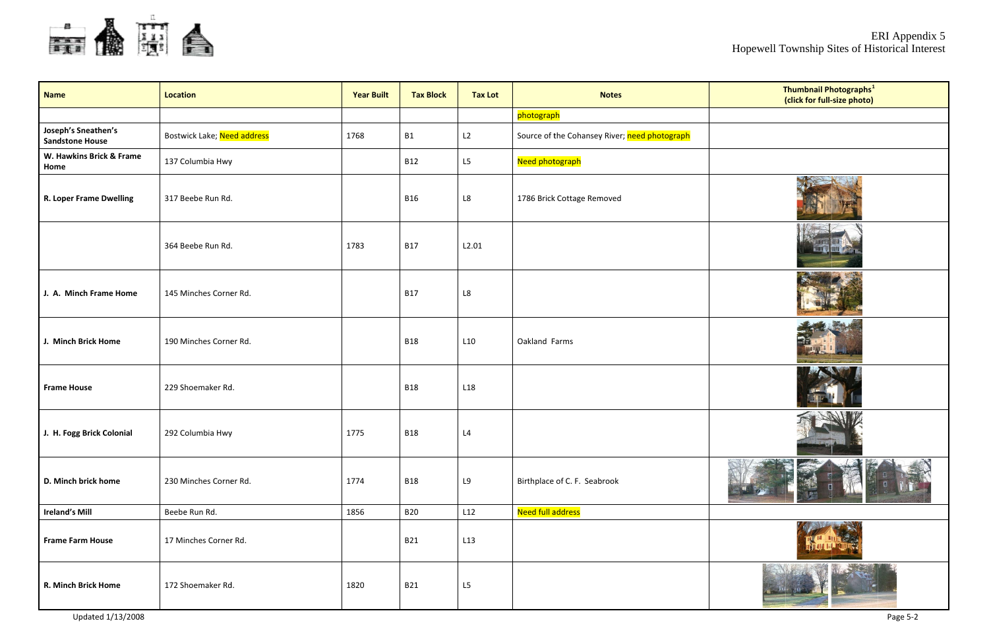

| <b>Name</b>                                   | <b>Location</b>             | <b>Year Built</b> | <b>Tax Block</b> | <b>Tax Lot</b>         | <b>Notes</b>                                  |
|-----------------------------------------------|-----------------------------|-------------------|------------------|------------------------|-----------------------------------------------|
|                                               |                             |                   |                  |                        | photograph                                    |
| Joseph's Sneathen's<br><b>Sandstone House</b> | Bostwick Lake; Need address | 1768              | <b>B1</b>        | L2                     | Source of the Cohansey River; need photograph |
| W. Hawkins Brick & Frame<br>Home              | 137 Columbia Hwy            |                   | <b>B12</b>       | L5                     | Need photograph                               |
| <b>R. Loper Frame Dwelling</b>                | 317 Beebe Run Rd.           |                   | <b>B16</b>       | $\mathsf{L}\mathsf{8}$ | 1786 Brick Cottage Removed                    |
|                                               | 364 Beebe Run Rd.           | 1783              | <b>B17</b>       | L2.01                  |                                               |
| J. A. Minch Frame Home                        | 145 Minches Corner Rd.      |                   | <b>B17</b>       | L8                     |                                               |
| J. Minch Brick Home                           | 190 Minches Corner Rd.      |                   | <b>B18</b>       | L10                    | Oakland Farms                                 |
| <b>Frame House</b>                            | 229 Shoemaker Rd.           |                   | <b>B18</b>       | L <sub>18</sub>        |                                               |
| J. H. Fogg Brick Colonial                     | 292 Columbia Hwy            | 1775              | <b>B18</b>       | L4                     |                                               |
| D. Minch brick home                           | 230 Minches Corner Rd.      | 1774              | <b>B18</b>       | L9                     | Birthplace of C. F. Seabrook                  |
| <b>Ireland's Mill</b>                         | Beebe Run Rd.               | 1856              | <b>B20</b>       | L12                    | <b>Need full address</b>                      |
| <b>Frame Farm House</b>                       | 17 Minches Corner Rd.       |                   | <b>B21</b>       | L13                    |                                               |
| R. Minch Brick Home                           | 172 Shoemaker Rd.           | 1820              | <b>B21</b>       | L5                     |                                               |

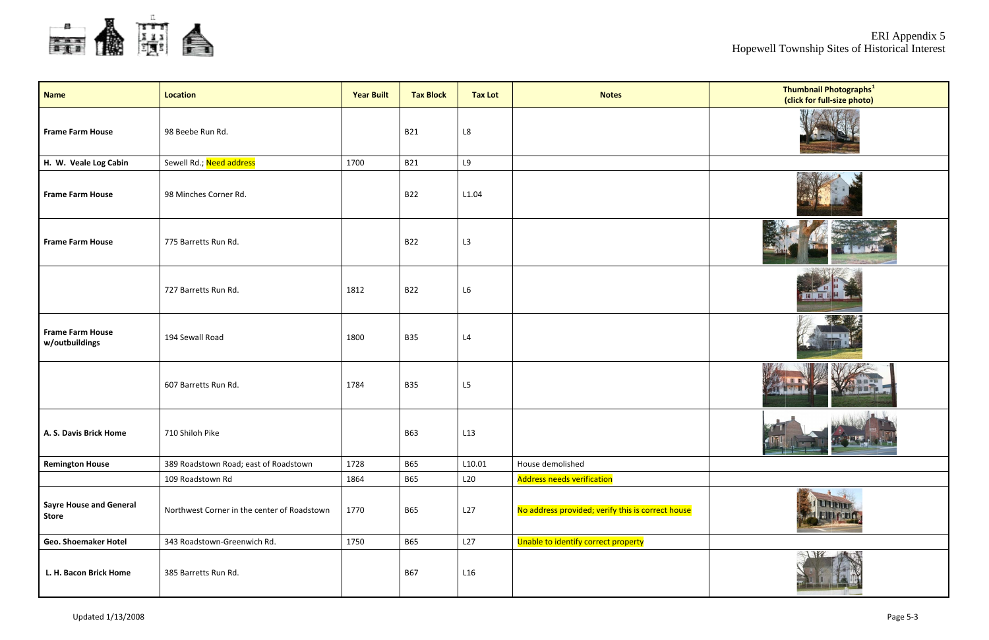

| <b>Name</b>                                    | <b>Location</b>                             | <b>Year Built</b> | <b>Tax Block</b> | <b>Tax Lot</b> | <b>Notes</b>                                      |  |
|------------------------------------------------|---------------------------------------------|-------------------|------------------|----------------|---------------------------------------------------|--|
| <b>Frame Farm House</b>                        | 98 Beebe Run Rd.                            |                   | <b>B21</b>       | L8             |                                                   |  |
| H. W. Veale Log Cabin                          | Sewell Rd.; Need address                    | 1700              | <b>B21</b>       | L9             |                                                   |  |
| <b>Frame Farm House</b>                        | 98 Minches Corner Rd.                       |                   | <b>B22</b>       | L1.04          |                                                   |  |
| <b>Frame Farm House</b>                        | 775 Barretts Run Rd.                        |                   | <b>B22</b>       | L3             |                                                   |  |
|                                                | 727 Barretts Run Rd.                        | 1812              | <b>B22</b>       | L6             |                                                   |  |
| <b>Frame Farm House</b><br>w/outbuildings      | 194 Sewall Road                             | 1800              | <b>B35</b>       | L4             |                                                   |  |
|                                                | 607 Barretts Run Rd.                        | 1784              | <b>B35</b>       | L5             |                                                   |  |
| A. S. Davis Brick Home                         | 710 Shiloh Pike                             |                   | <b>B63</b>       | L13            |                                                   |  |
| <b>Remington House</b>                         | 389 Roadstown Road; east of Roadstown       | 1728              | <b>B65</b>       | L10.01         | House demolished                                  |  |
|                                                | 109 Roadstown Rd                            | 1864              | <b>B65</b>       | L20            | <b>Address needs verification</b>                 |  |
| <b>Sayre House and General</b><br><b>Store</b> | Northwest Corner in the center of Roadstown | 1770              | <b>B65</b>       | L27            | No address provided; verify this is correct house |  |
| <b>Geo. Shoemaker Hotel</b>                    | 343 Roadstown-Greenwich Rd.                 | 1750              | <b>B65</b>       | L27            | Unable to identify correct property               |  |
| L. H. Bacon Brick Home                         | 385 Barretts Run Rd.                        |                   | <b>B67</b>       | L16            |                                                   |  |

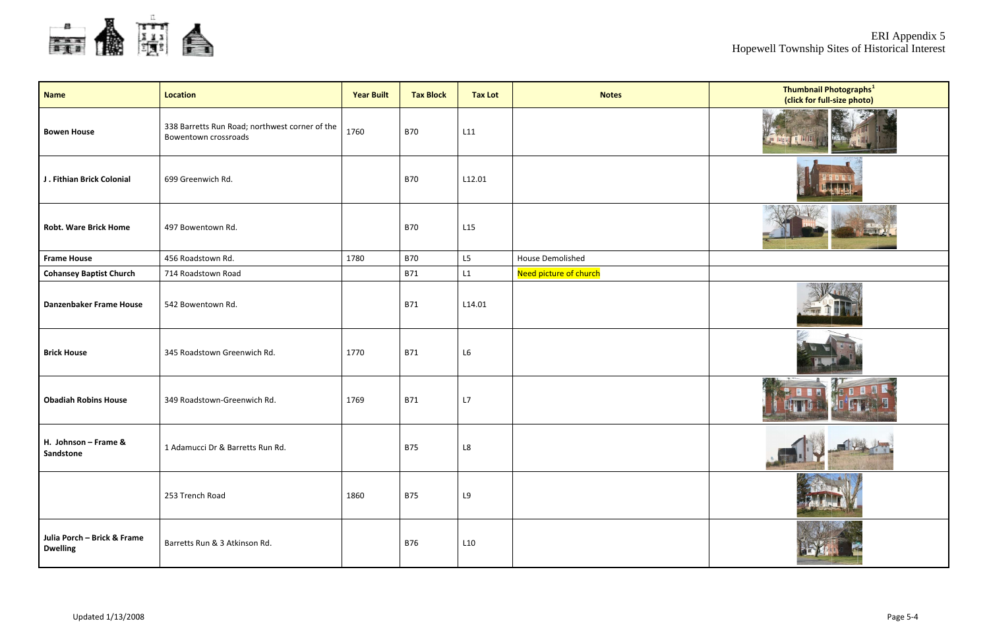

| <b>Name</b>                                    | <b>Location</b>                                                        | <b>Year Built</b> | <b>Tax Block</b> | <b>Tax Lot</b> | <b>Notes</b>            |  |
|------------------------------------------------|------------------------------------------------------------------------|-------------------|------------------|----------------|-------------------------|--|
| <b>Bowen House</b>                             | 338 Barretts Run Road; northwest corner of the<br>Bowentown crossroads | 1760              | <b>B70</b>       | L11            |                         |  |
| J. Fithian Brick Colonial                      | 699 Greenwich Rd.                                                      |                   | <b>B70</b>       | L12.01         |                         |  |
| <b>Robt. Ware Brick Home</b>                   | 497 Bowentown Rd.                                                      |                   | <b>B70</b>       | L15            |                         |  |
| <b>Frame House</b>                             | 456 Roadstown Rd.                                                      | 1780              | <b>B70</b>       | L5             | <b>House Demolished</b> |  |
| <b>Cohansey Baptist Church</b>                 | 714 Roadstown Road                                                     |                   | <b>B71</b>       | L1             | Need picture of church  |  |
| <b>Danzenbaker Frame House</b>                 | 542 Bowentown Rd.                                                      |                   | <b>B71</b>       | L14.01         |                         |  |
| <b>Brick House</b>                             | 345 Roadstown Greenwich Rd.                                            | 1770              | <b>B71</b>       | L6             |                         |  |
| <b>Obadiah Robins House</b>                    | 349 Roadstown-Greenwich Rd.                                            | 1769              | <b>B71</b>       | L7             |                         |  |
| H. Johnson - Frame &<br>Sandstone              | 1 Adamucci Dr & Barretts Run Rd.                                       |                   | <b>B75</b>       | $\mathsf{L8}$  |                         |  |
|                                                | 253 Trench Road                                                        | 1860              | <b>B75</b>       | L9             |                         |  |
| Julia Porch - Brick & Frame<br><b>Dwelling</b> | Barretts Run & 3 Atkinson Rd.                                          |                   | <b>B76</b>       | L10            |                         |  |

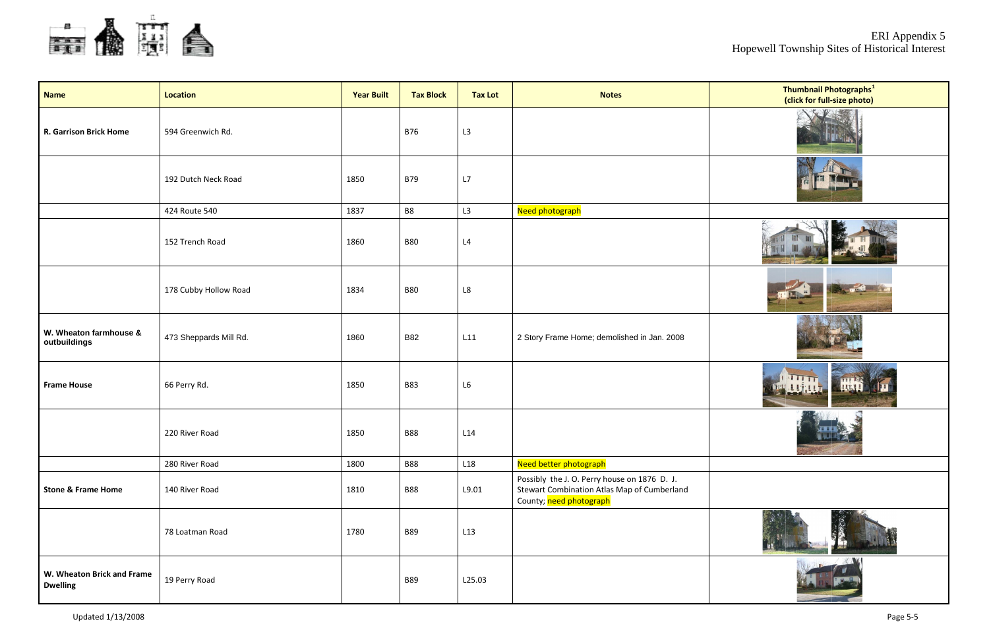

| <b>Name</b>                                   | <b>Location</b>        | <b>Year Built</b> | <b>Tax Block</b> | <b>Tax Lot</b>         | <b>Notes</b>                                                                                                           |  |
|-----------------------------------------------|------------------------|-------------------|------------------|------------------------|------------------------------------------------------------------------------------------------------------------------|--|
| <b>R. Garrison Brick Home</b>                 | 594 Greenwich Rd.      |                   | <b>B76</b>       | L3                     |                                                                                                                        |  |
|                                               | 192 Dutch Neck Road    | 1850              | <b>B79</b>       | L7                     |                                                                                                                        |  |
|                                               | 424 Route 540          | 1837              | B8               | L3                     | Need photograph                                                                                                        |  |
|                                               | 152 Trench Road        | 1860              | <b>B80</b>       | L4                     |                                                                                                                        |  |
|                                               | 178 Cubby Hollow Road  | 1834              | <b>B80</b>       | $\mathsf{L}\mathsf{8}$ |                                                                                                                        |  |
| W. Wheaton farmhouse &<br>outbuildings        | 473 Sheppards Mill Rd. | 1860              | <b>B82</b>       | L11                    | 2 Story Frame Home; demolished in Jan. 2008                                                                            |  |
| <b>Frame House</b>                            | 66 Perry Rd.           | 1850              | <b>B83</b>       | L6                     |                                                                                                                        |  |
|                                               | 220 River Road         | 1850              | <b>B88</b>       | L14                    |                                                                                                                        |  |
|                                               | 280 River Road         | 1800              | <b>B88</b>       | L18                    | Need better photograph                                                                                                 |  |
| <b>Stone &amp; Frame Home</b>                 | 140 River Road         | 1810              | <b>B88</b>       | L9.01                  | Possibly the J. O. Perry house on 1876 D. J.<br>Stewart Combination Atlas Map of Cumberland<br>County; need photograph |  |
|                                               | 78 Loatman Road        | 1780              | <b>B89</b>       | L13                    |                                                                                                                        |  |
| W. Wheaton Brick and Frame<br><b>Dwelling</b> | 19 Perry Road          |                   | <b>B89</b>       | L25.03                 |                                                                                                                        |  |